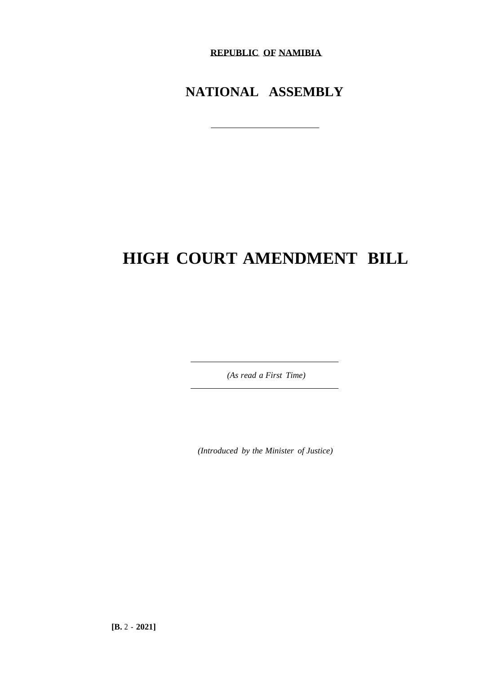**REPUBLIC OF NAMIBIA**

# **NATIONAL ASSEMBLY**

# **HIGH COURT AMENDMENT BILL**

*(As read a First Time)*

*(Introduced by the Minister of Justice)*

**[B.** 2 - **2021]**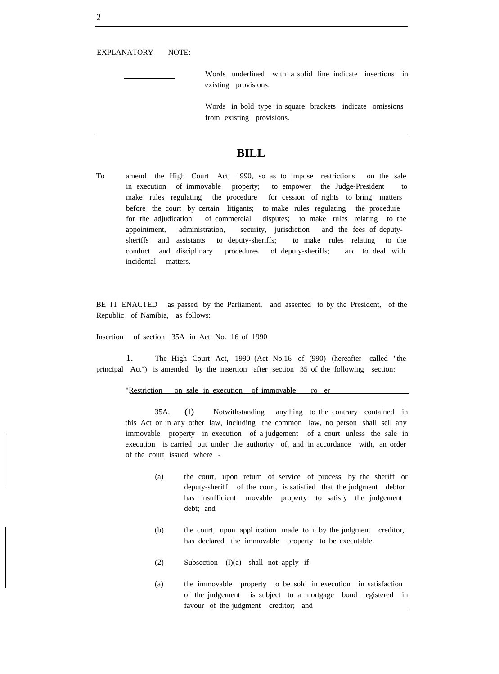EXPLANATORY NOTE:

Words underlined with a solid line indicate insertions in existing provisions.

Words in bold type in square brackets indicate omissions from existing provisions.

## **BILL**

To amend the High Court Act, 1990, so as to impose restrictions on the sale in execution of immovable property; to empower the Judge-President to make rules regulating the procedure for cession of rights to bring matters before the court by certain litigants; to make rules regulating the procedure for the adjudication of commercial disputes; to make rules relating to the appointment, administration, security, jurisdiction and the fees of deputysheriffs and assistants to deputy-sheriffs; to make rules relating to the conduct and disciplinary procedures of deputy-sheriffs; and to deal with incidental matters.

BE IT ENACTED as passed by the Parliament, and assented to by the President, of the Republic of Namibia, as follows:

Insertion of section 35A in Act No. 16 of 1990

1. The High Court Act, 1990 (Act No.16 of (990) (hereafter called "the principal Act") is amended by the insertion after section 35 of the following section:

#### "Restriction on sale in execution of immovable ro

35A. (I) Notwithstanding anything to the contrary contained in this Act or in any other law, including the common law, no person shall sell any immovable property in execution of a judgement of a court unless the sale in execution is carried out under the authority of, and in accordance with, an order of the court issued where -

- (a) the court, upon return of service of process by the sheriff or deputy-sheriff of the court, is satisfied that the judgment debtor has insufficient movable property to satisfy the judgement debt; and
- (b) the court, upon appl ication made to it by the judgment creditor, has declared the immovable property to be executable.
- (2) Subsection (l)(a) shall not apply if-
- (a) the immovable property to be sold in execution in satisfaction of the judgement is subject to a mortgage bond registered in favour of the judgment creditor; and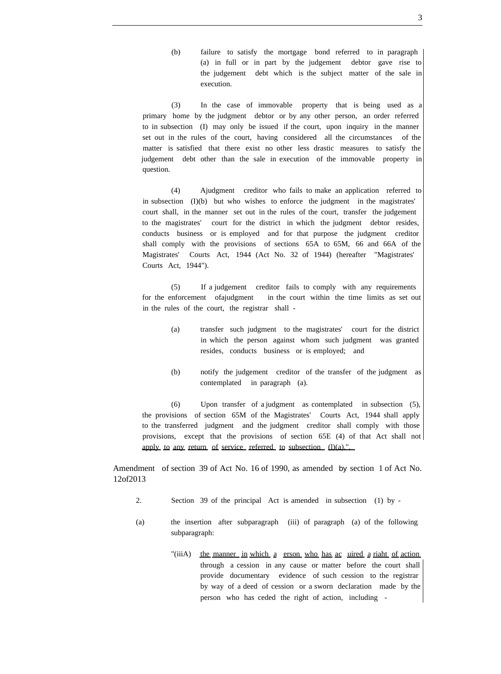(b) failure to satisfy the mortgage bond referred to in paragraph (a) in full or in part by the judgement debtor gave rise to the judgement debt which is the subject matter of the sale in execution.

(3) In the case of immovable property that is being used as a primary home by the judgment debtor or by any other person, an order referred to in subsection (I) may only be issued if the court, upon inquiry in the manner set out in the rules of the court, having considered all the circumstances of the matter is satisfied that there exist no other less drastic measures to satisfy the judgement debt other than the sale in execution of the immovable property in question.

(4) Ajudgment creditor who fails to make an application referred to in subsection (I)(b) but who wishes to enforce the judgment in the magistrates' court shall, in the manner set out in the rules of the court, transfer the judgement to the magistrates' court for the district in which the judgment debtor resides, conducts business or is employed and for that purpose the judgment creditor shall comply with the provisions of sections 65A to 65M, 66 and 66A of the Magistrates' Courts Act, 1944 (Act No. 32 of 1944) (hereafter "Magistrates' Courts Act, 1944").

(5) If a judgement creditor fails to comply with any requirements for the enforcement ofajudgment in the court within the time limits as set out in the rules of the court, the registrar shall -

- (a) transfer such judgment to the magistrates' court for the district in which the person against whom such judgment was granted resides, conducts business or is employed; and
- (b) notify the judgement creditor of the transfer of the judgment as contemplated in paragraph (a).

(6) Upon transfer of a judgment as contemplated in subsection (5), the provisions of section 65M of the Magistrates' Courts Act, 1944 shall apply to the transferred judgment and the judgment creditor shall comply with those provisions, except that the provisions of section 65E (4) of that Act shall not apply to any return of service referred to subsection  $(l)(a)$ .".

Amendment of section 39 of Act No. 16 of 1990, as amended by section 1 of Act No. 12of2013

- 2. Section 39 of the principal Act is amended in subsection (1) by -
- (a) the insertion after subparagraph (iii) of paragraph (a) of the following subparagraph:
	- "(iiiA) the manner in which a erson who has ac uired a riaht of action through a cession in any cause or matter before the court shall provide documentary evidence of such cession to the registrar by way of a deed of cession or a sworn declaration made by the person who has ceded the right of action, including -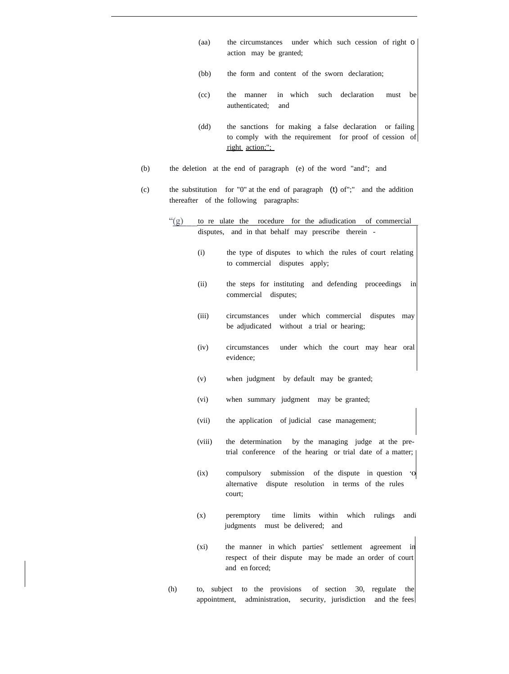- (aa) the circumstances under which such cession of right 0 action may be granted;
- (bb) the form and content of the sworn declaration;
- (cc) the manner in which such declaration must be authenticated; and
- (dd) the sanctions for making a false declaration or failing to comply with the requirement for proof of cession of right action;";
- (b) the deletion at the end of paragraph (e) of the word "and"; and
- (c) the substitution for "0" at the end of paragraph (t) of";" and the addition thereafter of the following paragraphs:
	- $``(g)$ to re ulate the rocedure for the adiudication of commercial disputes, and in that behalf may prescribe therein - (i) the type of disputes to which the rules of court relating to commercial disputes apply; (ii) the steps for instituting and defending proceedings in commercial disputes; (iii) circumstances under which commercial disputes may be adjudicated without a trial or hearing; (iv) circumstances under which the court may hear oral evidence; (v) when judgment by default may be granted; (vi) when summary judgment may be granted; (vii) the application of judicial case management; (viii) the determination by the managing judge at the pretrial conference of the hearing or trial date of a matter; (ix) compulsory submission of the dispute in question '0 alternative dispute resolution in terms of the rules court; (x) peremptory time limits within which rulings andi judgments must be delivered; and (xi) the manner in which parties' settlement agreement in respect of their dispute may be made an order of court and en forced;
	- (h) to, subject to the provisions of section 30, regulate the appointment, administration, security, jurisdiction and the fees